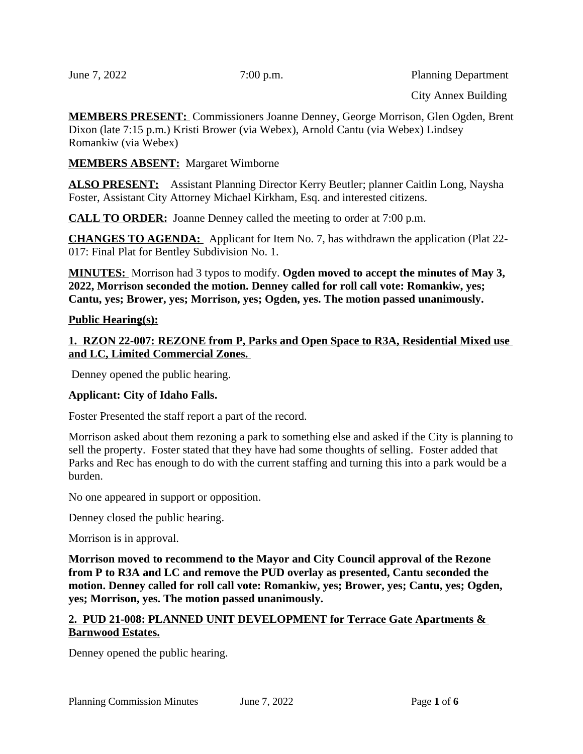June 7, 2022 7:00 p.m. Planning Department

**MEMBERS PRESENT:** Commissioners Joanne Denney, George Morrison, Glen Ogden, Brent Dixon (late 7:15 p.m.) Kristi Brower (via Webex), Arnold Cantu (via Webex) Lindsey Romankiw (via Webex)

**MEMBERS ABSENT:** Margaret Wimborne

**ALSO PRESENT:** Assistant Planning Director Kerry Beutler; planner Caitlin Long, Naysha Foster, Assistant City Attorney Michael Kirkham, Esq. and interested citizens.

**CALL TO ORDER:** Joanne Denney called the meeting to order at 7:00 p.m.

**CHANGES TO AGENDA:** Applicant for Item No. 7, has withdrawn the application (Plat 22- 017: Final Plat for Bentley Subdivision No. 1.

**MINUTES:** Morrison had 3 typos to modify. **Ogden moved to accept the minutes of May 3, 2022, Morrison seconded the motion. Denney called for roll call vote: Romankiw, yes; Cantu, yes; Brower, yes; Morrison, yes; Ogden, yes. The motion passed unanimously.**

#### **Public Hearing(s):**

**1. RZON 22-007: REZONE from P, Parks and Open Space to R3A, Residential Mixed use and LC, Limited Commercial Zones.** 

Denney opened the public hearing.

## **Applicant: City of Idaho Falls.**

Foster Presented the staff report a part of the record.

Morrison asked about them rezoning a park to something else and asked if the City is planning to sell the property. Foster stated that they have had some thoughts of selling. Foster added that Parks and Rec has enough to do with the current staffing and turning this into a park would be a burden.

No one appeared in support or opposition.

Denney closed the public hearing.

Morrison is in approval.

**Morrison moved to recommend to the Mayor and City Council approval of the Rezone from P to R3A and LC and remove the PUD overlay as presented, Cantu seconded the motion. Denney called for roll call vote: Romankiw, yes; Brower, yes; Cantu, yes; Ogden, yes; Morrison, yes. The motion passed unanimously.**

#### **2. PUD 21-008: PLANNED UNIT DEVELOPMENT for Terrace Gate Apartments & Barnwood Estates.**

Denney opened the public hearing.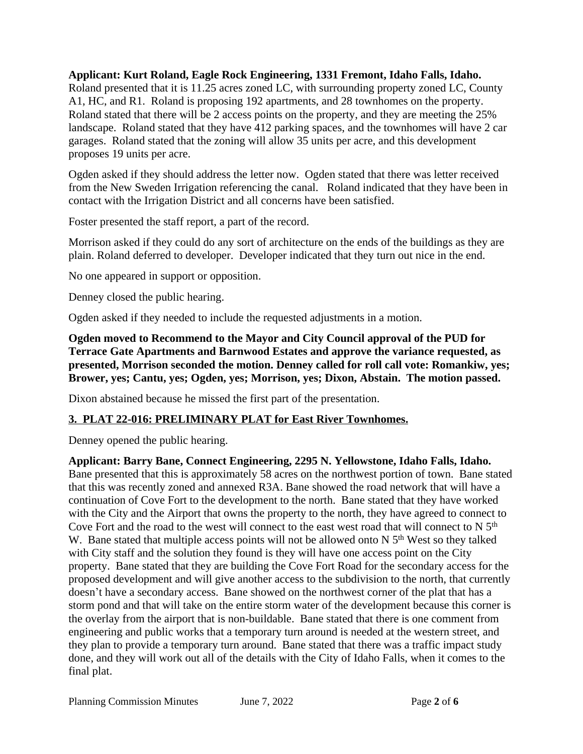## **Applicant: Kurt Roland, Eagle Rock Engineering, 1331 Fremont, Idaho Falls, Idaho.**

Roland presented that it is 11.25 acres zoned LC, with surrounding property zoned LC, County A1, HC, and R1. Roland is proposing 192 apartments, and 28 townhomes on the property. Roland stated that there will be 2 access points on the property, and they are meeting the 25% landscape. Roland stated that they have 412 parking spaces, and the townhomes will have 2 car garages. Roland stated that the zoning will allow 35 units per acre, and this development proposes 19 units per acre.

Ogden asked if they should address the letter now. Ogden stated that there was letter received from the New Sweden Irrigation referencing the canal. Roland indicated that they have been in contact with the Irrigation District and all concerns have been satisfied.

Foster presented the staff report, a part of the record.

Morrison asked if they could do any sort of architecture on the ends of the buildings as they are plain. Roland deferred to developer. Developer indicated that they turn out nice in the end.

No one appeared in support or opposition.

Denney closed the public hearing.

Ogden asked if they needed to include the requested adjustments in a motion.

**Ogden moved to Recommend to the Mayor and City Council approval of the PUD for Terrace Gate Apartments and Barnwood Estates and approve the variance requested, as presented, Morrison seconded the motion. Denney called for roll call vote: Romankiw, yes; Brower, yes; Cantu, yes; Ogden, yes; Morrison, yes; Dixon, Abstain. The motion passed.**

Dixon abstained because he missed the first part of the presentation.

# **3. PLAT 22-016: PRELIMINARY PLAT for East River Townhomes.**

Denney opened the public hearing.

## **Applicant: Barry Bane, Connect Engineering, 2295 N. Yellowstone, Idaho Falls, Idaho.**  Bane presented that this is approximately 58 acres on the northwest portion of town. Bane stated that this was recently zoned and annexed R3A. Bane showed the road network that will have a continuation of Cove Fort to the development to the north. Bane stated that they have worked with the City and the Airport that owns the property to the north, they have agreed to connect to Cove Fort and the road to the west will connect to the east west road that will connect to N 5<sup>th</sup> W. Bane stated that multiple access points will not be allowed onto  $N$  5<sup>th</sup> West so they talked with City staff and the solution they found is they will have one access point on the City property. Bane stated that they are building the Cove Fort Road for the secondary access for the proposed development and will give another access to the subdivision to the north, that currently doesn't have a secondary access. Bane showed on the northwest corner of the plat that has a storm pond and that will take on the entire storm water of the development because this corner is the overlay from the airport that is non-buildable. Bane stated that there is one comment from engineering and public works that a temporary turn around is needed at the western street, and they plan to provide a temporary turn around. Bane stated that there was a traffic impact study done, and they will work out all of the details with the City of Idaho Falls, when it comes to the final plat.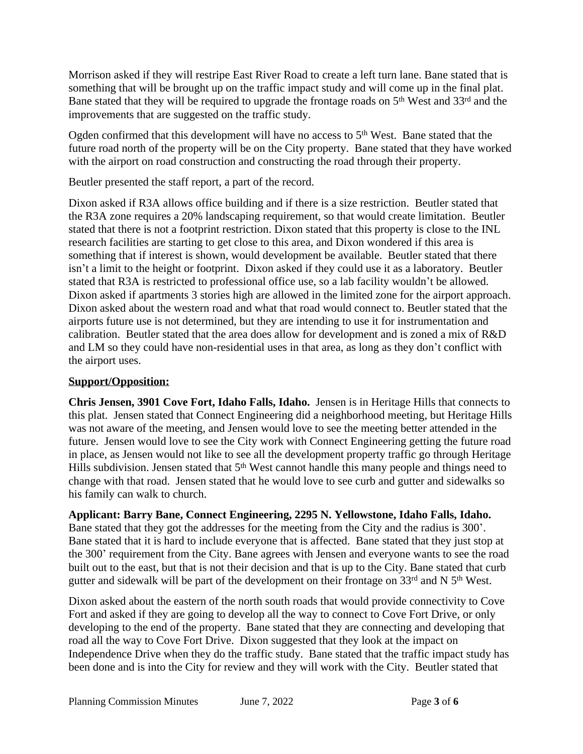Morrison asked if they will restripe East River Road to create a left turn lane. Bane stated that is something that will be brought up on the traffic impact study and will come up in the final plat. Bane stated that they will be required to upgrade the frontage roads on 5<sup>th</sup> West and 33<sup>rd</sup> and the improvements that are suggested on the traffic study.

Ogden confirmed that this development will have no access to  $5<sup>th</sup>$  West. Bane stated that the future road north of the property will be on the City property. Bane stated that they have worked with the airport on road construction and constructing the road through their property.

Beutler presented the staff report, a part of the record.

Dixon asked if R3A allows office building and if there is a size restriction. Beutler stated that the R3A zone requires a 20% landscaping requirement, so that would create limitation. Beutler stated that there is not a footprint restriction. Dixon stated that this property is close to the INL research facilities are starting to get close to this area, and Dixon wondered if this area is something that if interest is shown, would development be available. Beutler stated that there isn't a limit to the height or footprint. Dixon asked if they could use it as a laboratory. Beutler stated that R3A is restricted to professional office use, so a lab facility wouldn't be allowed. Dixon asked if apartments 3 stories high are allowed in the limited zone for the airport approach. Dixon asked about the western road and what that road would connect to. Beutler stated that the airports future use is not determined, but they are intending to use it for instrumentation and calibration. Beutler stated that the area does allow for development and is zoned a mix of R&D and LM so they could have non-residential uses in that area, as long as they don't conflict with the airport uses.

# **Support/Opposition:**

**Chris Jensen, 3901 Cove Fort, Idaho Falls, Idaho.** Jensen is in Heritage Hills that connects to this plat. Jensen stated that Connect Engineering did a neighborhood meeting, but Heritage Hills was not aware of the meeting, and Jensen would love to see the meeting better attended in the future. Jensen would love to see the City work with Connect Engineering getting the future road in place, as Jensen would not like to see all the development property traffic go through Heritage Hills subdivision. Jensen stated that 5<sup>th</sup> West cannot handle this many people and things need to change with that road. Jensen stated that he would love to see curb and gutter and sidewalks so his family can walk to church.

**Applicant: Barry Bane, Connect Engineering, 2295 N. Yellowstone, Idaho Falls, Idaho.**  Bane stated that they got the addresses for the meeting from the City and the radius is 300'. Bane stated that it is hard to include everyone that is affected. Bane stated that they just stop at the 300' requirement from the City. Bane agrees with Jensen and everyone wants to see the road built out to the east, but that is not their decision and that is up to the City. Bane stated that curb gutter and sidewalk will be part of the development on their frontage on 33rd and N 5<sup>th</sup> West.

Dixon asked about the eastern of the north south roads that would provide connectivity to Cove Fort and asked if they are going to develop all the way to connect to Cove Fort Drive, or only developing to the end of the property. Bane stated that they are connecting and developing that road all the way to Cove Fort Drive. Dixon suggested that they look at the impact on Independence Drive when they do the traffic study. Bane stated that the traffic impact study has been done and is into the City for review and they will work with the City. Beutler stated that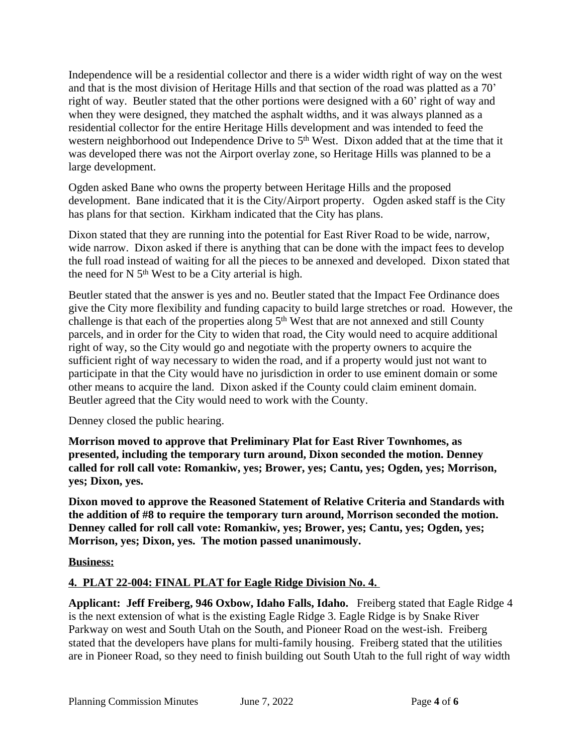Independence will be a residential collector and there is a wider width right of way on the west and that is the most division of Heritage Hills and that section of the road was platted as a 70' right of way. Beutler stated that the other portions were designed with a 60' right of way and when they were designed, they matched the asphalt widths, and it was always planned as a residential collector for the entire Heritage Hills development and was intended to feed the western neighborhood out Independence Drive to 5<sup>th</sup> West. Dixon added that at the time that it was developed there was not the Airport overlay zone, so Heritage Hills was planned to be a large development.

Ogden asked Bane who owns the property between Heritage Hills and the proposed development. Bane indicated that it is the City/Airport property. Ogden asked staff is the City has plans for that section. Kirkham indicated that the City has plans.

Dixon stated that they are running into the potential for East River Road to be wide, narrow, wide narrow. Dixon asked if there is anything that can be done with the impact fees to develop the full road instead of waiting for all the pieces to be annexed and developed. Dixon stated that the need for  $N$  5<sup>th</sup> West to be a City arterial is high.

Beutler stated that the answer is yes and no. Beutler stated that the Impact Fee Ordinance does give the City more flexibility and funding capacity to build large stretches or road. However, the challenge is that each of the properties along 5<sup>th</sup> West that are not annexed and still County parcels, and in order for the City to widen that road, the City would need to acquire additional right of way, so the City would go and negotiate with the property owners to acquire the sufficient right of way necessary to widen the road, and if a property would just not want to participate in that the City would have no jurisdiction in order to use eminent domain or some other means to acquire the land. Dixon asked if the County could claim eminent domain. Beutler agreed that the City would need to work with the County.

Denney closed the public hearing.

**Morrison moved to approve that Preliminary Plat for East River Townhomes, as presented, including the temporary turn around, Dixon seconded the motion. Denney called for roll call vote: Romankiw, yes; Brower, yes; Cantu, yes; Ogden, yes; Morrison, yes; Dixon, yes.** 

**Dixon moved to approve the Reasoned Statement of Relative Criteria and Standards with the addition of #8 to require the temporary turn around, Morrison seconded the motion. Denney called for roll call vote: Romankiw, yes; Brower, yes; Cantu, yes; Ogden, yes; Morrison, yes; Dixon, yes. The motion passed unanimously.**

## **Business:**

## **4. PLAT 22-004: FINAL PLAT for Eagle Ridge Division No. 4.**

**Applicant: Jeff Freiberg, 946 Oxbow, Idaho Falls, Idaho.** Freiberg stated that Eagle Ridge 4 is the next extension of what is the existing Eagle Ridge 3. Eagle Ridge is by Snake River Parkway on west and South Utah on the South, and Pioneer Road on the west-ish. Freiberg stated that the developers have plans for multi-family housing. Freiberg stated that the utilities are in Pioneer Road, so they need to finish building out South Utah to the full right of way width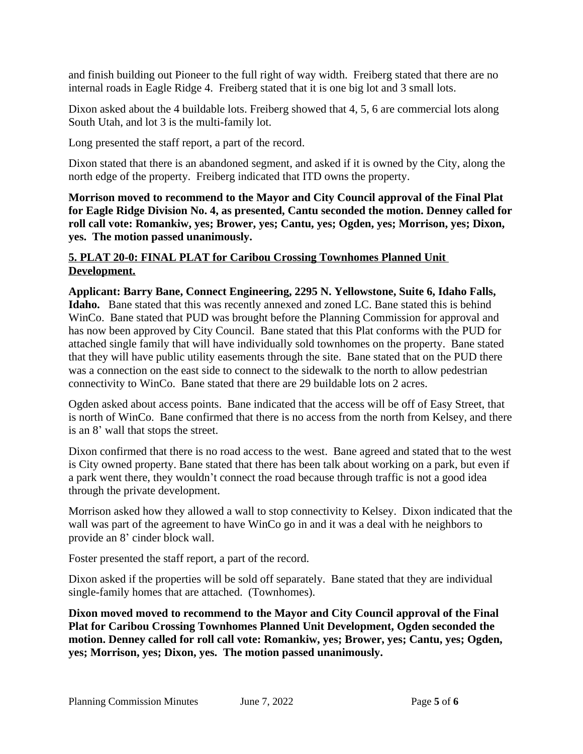and finish building out Pioneer to the full right of way width. Freiberg stated that there are no internal roads in Eagle Ridge 4. Freiberg stated that it is one big lot and 3 small lots.

Dixon asked about the 4 buildable lots. Freiberg showed that 4, 5, 6 are commercial lots along South Utah, and lot 3 is the multi-family lot.

Long presented the staff report, a part of the record.

Dixon stated that there is an abandoned segment, and asked if it is owned by the City, along the north edge of the property. Freiberg indicated that ITD owns the property.

**Morrison moved to recommend to the Mayor and City Council approval of the Final Plat for Eagle Ridge Division No. 4, as presented, Cantu seconded the motion. Denney called for roll call vote: Romankiw, yes; Brower, yes; Cantu, yes; Ogden, yes; Morrison, yes; Dixon, yes. The motion passed unanimously.**

#### **5. PLAT 20-0: FINAL PLAT for Caribou Crossing Townhomes Planned Unit Development.**

#### **Applicant: Barry Bane, Connect Engineering, 2295 N. Yellowstone, Suite 6, Idaho Falls, Idaho.** Bane stated that this was recently annexed and zoned LC. Bane stated this is behind WinCo. Bane stated that PUD was brought before the Planning Commission for approval and has now been approved by City Council. Bane stated that this Plat conforms with the PUD for attached single family that will have individually sold townhomes on the property. Bane stated that they will have public utility easements through the site. Bane stated that on the PUD there was a connection on the east side to connect to the sidewalk to the north to allow pedestrian connectivity to WinCo. Bane stated that there are 29 buildable lots on 2 acres.

Ogden asked about access points. Bane indicated that the access will be off of Easy Street, that is north of WinCo. Bane confirmed that there is no access from the north from Kelsey, and there is an 8' wall that stops the street.

Dixon confirmed that there is no road access to the west. Bane agreed and stated that to the west is City owned property. Bane stated that there has been talk about working on a park, but even if a park went there, they wouldn't connect the road because through traffic is not a good idea through the private development.

Morrison asked how they allowed a wall to stop connectivity to Kelsey. Dixon indicated that the wall was part of the agreement to have WinCo go in and it was a deal with he neighbors to provide an 8' cinder block wall.

Foster presented the staff report, a part of the record.

Dixon asked if the properties will be sold off separately. Bane stated that they are individual single-family homes that are attached. (Townhomes).

**Dixon moved moved to recommend to the Mayor and City Council approval of the Final Plat for Caribou Crossing Townhomes Planned Unit Development, Ogden seconded the motion. Denney called for roll call vote: Romankiw, yes; Brower, yes; Cantu, yes; Ogden, yes; Morrison, yes; Dixon, yes. The motion passed unanimously.**